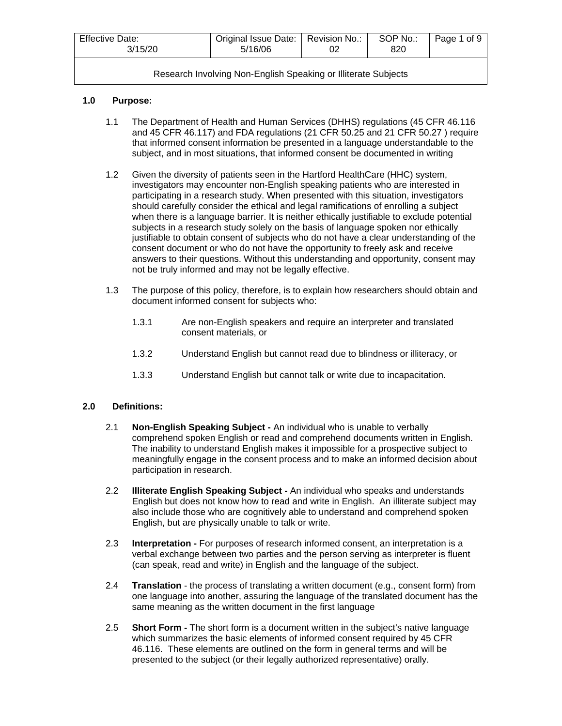| <b>Effective Date:</b><br>3/15/20 | Original Issue Date:   Revision No.:<br>5/16/06 | SOP No.:<br>82C | Page 1 of 9 |
|-----------------------------------|-------------------------------------------------|-----------------|-------------|
|                                   |                                                 |                 |             |

## **1.0 Purpose:**

- 1.1 The Department of Health and Human Services (DHHS) regulations (45 CFR 46.116 and 45 CFR 46.117) and FDA regulations (21 CFR 50.25 and 21 CFR 50.27 ) require that informed consent information be presented in a language understandable to the subject, and in most situations, that informed consent be documented in writing
- 1.2 Given the diversity of patients seen in the Hartford HealthCare (HHC) system, investigators may encounter non-English speaking patients who are interested in participating in a research study. When presented with this situation, investigators should carefully consider the ethical and legal ramifications of enrolling a subject when there is a language barrier. It is neither ethically justifiable to exclude potential subjects in a research study solely on the basis of language spoken nor ethically justifiable to obtain consent of subjects who do not have a clear understanding of the consent document or who do not have the opportunity to freely ask and receive answers to their questions. Without this understanding and opportunity, consent may not be truly informed and may not be legally effective.
- 1.3 The purpose of this policy, therefore, is to explain how researchers should obtain and document informed consent for subjects who:
	- 1.3.1 Are non-English speakers and require an interpreter and translated consent materials, or
	- 1.3.2 Understand English but cannot read due to blindness or illiteracy, or
	- 1.3.3 Understand English but cannot talk or write due to incapacitation.

## **2.0 Definitions:**

- 2.1 **Non-English Speaking Subject -** An individual who is unable to verbally comprehend spoken English or read and comprehend documents written in English. The inability to understand English makes it impossible for a prospective subject to meaningfully engage in the consent process and to make an informed decision about participation in research.
- 2.2 **Illiterate English Speaking Subject -** An individual who speaks and understands English but does not know how to read and write in English.An illiterate subject may also include those who are cognitively able to understand and comprehend spoken English, but are physically unable to talk or write.
- 2.3 **Interpretation -** For purposes of research informed consent, an interpretation is a verbal exchange between two parties and the person serving as interpreter is fluent (can speak, read and write) in English and the language of the subject.
- 2.4 **Translation** the process of translating a written document (e.g., consent form) from one language into another, assuring the language of the translated document has the same meaning as the written document in the first language
- 2.5 **Short Form -** The short form is a document written in the subject's native language which summarizes the basic elements of informed consent required by 45 CFR 46.116. These elements are outlined on the form in general terms and will be presented to the subject (or their legally authorized representative) orally.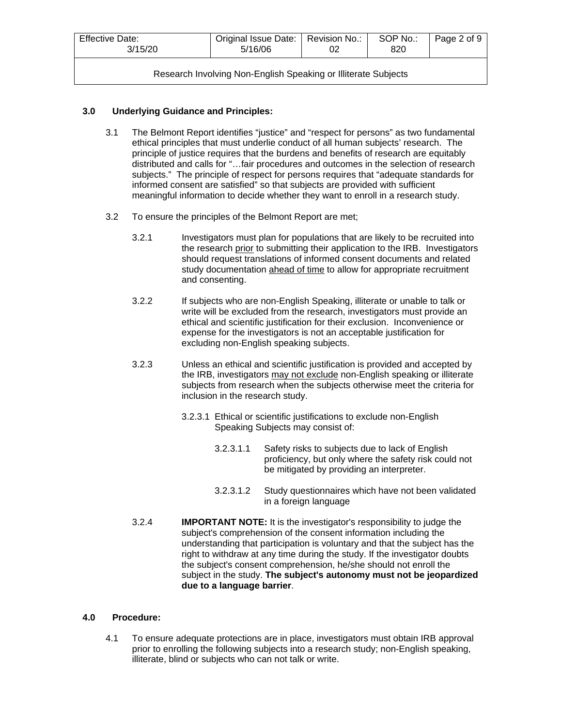| <b>Effective Date:</b><br>3/15/20                              | Original Issue Date:   Revision No.:<br>5/16/06 |  | SOP No.:<br>820 | Page 2 of 9 |  |
|----------------------------------------------------------------|-------------------------------------------------|--|-----------------|-------------|--|
| Research Involving Non-English Speaking or Illiterate Subjects |                                                 |  |                 |             |  |

## **3.0 Underlying Guidance and Principles:**

- 3.1 The Belmont Report identifies "justice" and "respect for persons" as two fundamental ethical principles that must underlie conduct of all human subjects' research. The principle of justice requires that the burdens and benefits of research are equitably distributed and calls for "…fair procedures and outcomes in the selection of research subjects." The principle of respect for persons requires that "adequate standards for informed consent are satisfied" so that subjects are provided with sufficient meaningful information to decide whether they want to enroll in a research study.
- 3.2 To ensure the principles of the Belmont Report are met;
	- 3.2.1 Investigators must plan for populations that are likely to be recruited into the research prior to submitting their application to the IRB. Investigators should request translations of informed consent documents and related study documentation ahead of time to allow for appropriate recruitment and consenting.
	- 3.2.2 If subjects who are non-English Speaking, illiterate or unable to talk or write will be excluded from the research, investigators must provide an ethical and scientific justification for their exclusion. Inconvenience or expense for the investigators is not an acceptable justification for excluding non-English speaking subjects.
	- 3.2.3 Unless an ethical and scientific justification is provided and accepted by the IRB, investigators may not exclude non-English speaking or illiterate subjects from research when the subjects otherwise meet the criteria for inclusion in the research study.
		- 3.2.3.1 Ethical or scientific justifications to exclude non-English Speaking Subjects may consist of:
			- 3.2.3.1.1 Safety risks to subjects due to lack of English proficiency, but only where the safety risk could not be mitigated by providing an interpreter.
			- 3.2.3.1.2 Study questionnaires which have not been validated in a foreign language
	- 3.2.4 **IMPORTANT NOTE:** It is the investigator's responsibility to judge the subject's comprehension of the consent information including the understanding that participation is voluntary and that the subject has the right to withdraw at any time during the study. If the investigator doubts the subject's consent comprehension, he/she should not enroll the subject in the study. **The subject's autonomy must not be jeopardized due to a language barrier**.

## **4.0 Procedure:**

4.1 To ensure adequate protections are in place, investigators must obtain IRB approval prior to enrolling the following subjects into a research study; non-English speaking, illiterate, blind or subjects who can not talk or write.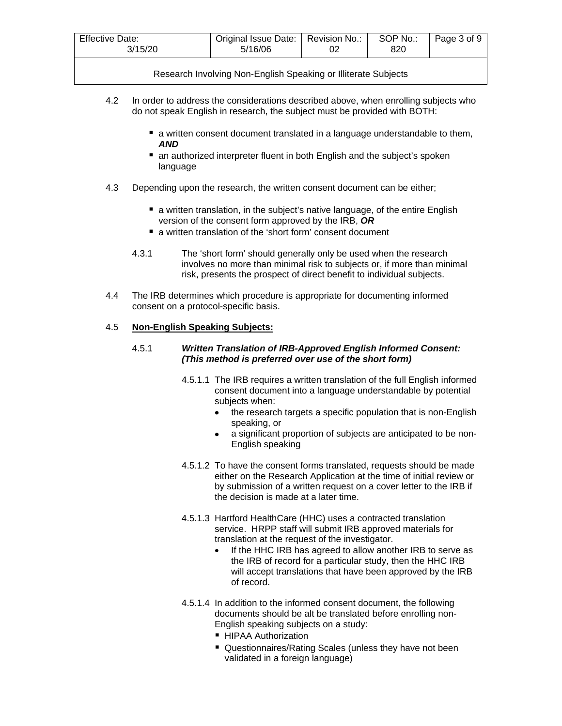| <b>Effective Date:</b> | Original Issue Date:   Revision No.: |  | SOP No.: | Page 3 of 9 |
|------------------------|--------------------------------------|--|----------|-------------|
| 3/15/20                | 5/16/06                              |  | 820      |             |

- 4.2 In order to address the considerations described above, when enrolling subjects who do not speak English in research, the subject must be provided with BOTH:
	- **a** written consent document translated in a language understandable to them, *AND*
	- an authorized interpreter fluent in both English and the subject's spoken language
- 4.3 Depending upon the research, the written consent document can be either;
	- **E** a written translation, in the subject's native language, of the entire English version of the consent form approved by the IRB, *OR*
	- a written translation of the 'short form' consent document
	- 4.3.1 The 'short form' should generally only be used when the research involves no more than minimal risk to subjects or, if more than minimal risk, presents the prospect of direct benefit to individual subjects.
- 4.4 The IRB determines which procedure is appropriate for documenting informed consent on a protocol-specific basis.

## 4.5 **Non-English Speaking Subjects:**

#### 4.5.1 *Written Translation of IRB-Approved English Informed Consent: (This method is preferred over use of the short form)*

- 4.5.1.1 The IRB requires a written translation of the full English informed consent document into a language understandable by potential subjects when:
	- the research targets a specific population that is non-English speaking, or
	- a significant proportion of subjects are anticipated to be non-English speaking
- 4.5.1.2 To have the consent forms translated, requests should be made either on the Research Application at the time of initial review or by submission of a written request on a cover letter to the IRB if the decision is made at a later time.
- 4.5.1.3 Hartford HealthCare (HHC) uses a contracted translation service. HRPP staff will submit IRB approved materials for translation at the request of the investigator.
	- If the HHC IRB has agreed to allow another IRB to serve as the IRB of record for a particular study, then the HHC IRB will accept translations that have been approved by the IRB of record.
- 4.5.1.4 In addition to the informed consent document, the following documents should be alt be translated before enrolling non-English speaking subjects on a study:
	- **HIPAA Authorization**
	- Questionnaires/Rating Scales (unless they have not been validated in a foreign language)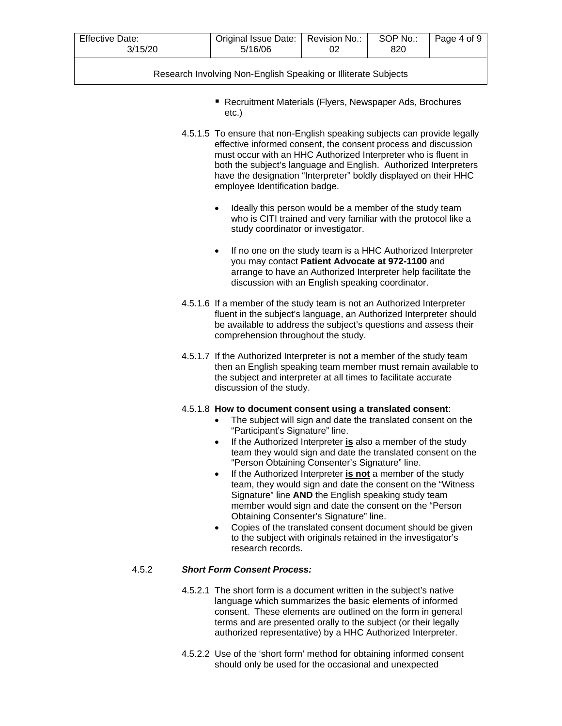| <b>Effective Date:</b><br>3/15/20 | Original Issue Date:   Revision No.:<br>5/16/06 | SOP No.:<br>820 | Page 4 of 9 |
|-----------------------------------|-------------------------------------------------|-----------------|-------------|
|                                   |                                                 |                 |             |

- Recruitment Materials (Flyers, Newspaper Ads, Brochures etc.)
- 4.5.1.5 To ensure that non-English speaking subjects can provide legally effective informed consent, the consent process and discussion must occur with an HHC Authorized Interpreter who is fluent in both the subject's language and English. Authorized Interpreters have the designation "Interpreter" boldly displayed on their HHC employee Identification badge.
	- Ideally this person would be a member of the study team who is CITI trained and very familiar with the protocol like a study coordinator or investigator.
	- If no one on the study team is a HHC Authorized Interpreter you may contact **Patient Advocate at 972-1100** and arrange to have an Authorized Interpreter help facilitate the discussion with an English speaking coordinator.
- 4.5.1.6 If a member of the study team is not an Authorized Interpreter fluent in the subject's language, an Authorized Interpreter should be available to address the subject's questions and assess their comprehension throughout the study.
- 4.5.1.7 If the Authorized Interpreter is not a member of the study team then an English speaking team member must remain available to the subject and interpreter at all times to facilitate accurate discussion of the study.

## 4.5.1.8 **How to document consent using a translated consent**:

- The subject will sign and date the translated consent on the "Participant's Signature" line.
- If the Authorized Interpreter **is** also a member of the study team they would sign and date the translated consent on the "Person Obtaining Consenter's Signature" line.
- If the Authorized Interpreter **is not** a member of the study team, they would sign and date the consent on the "Witness Signature" line **AND** the English speaking study team member would sign and date the consent on the "Person Obtaining Consenter's Signature" line.
- Copies of the translated consent document should be given to the subject with originals retained in the investigator's research records.

## 4.5.2 *Short Form Consent Process:*

- 4.5.2.1 The short form is a document written in the subject's native language which summarizes the basic elements of informed consent. These elements are outlined on the form in general terms and are presented orally to the subject (or their legally authorized representative) by a HHC Authorized Interpreter.
- 4.5.2.2 Use of the 'short form' method for obtaining informed consent should only be used for the occasional and unexpected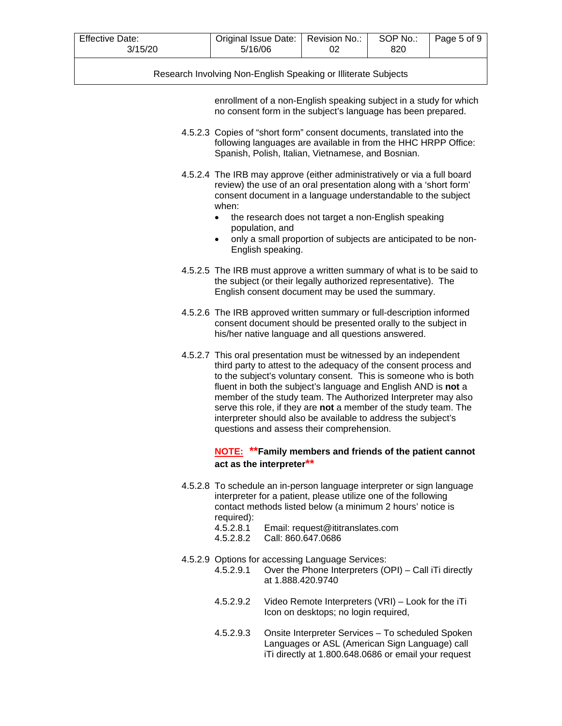| Effective Date: | Original Issue Date:   Revision No.: | SOP No.: | Page 5 of 9 |
|-----------------|--------------------------------------|----------|-------------|
| 3/15/20         | 5/16/06                              | 820      |             |

enrollment of a non-English speaking subject in a study for which no consent form in the subject's language has been prepared.

- 4.5.2.3 Copies of "short form" consent documents, translated into the following languages are available in from the HHC HRPP Office: Spanish, Polish, Italian, Vietnamese, and Bosnian.
- 4.5.2.4 The IRB may approve (either administratively or via a full board review) the use of an oral presentation along with a 'short form' consent document in a language understandable to the subject when:
	- the research does not target a non-English speaking population, and
	- only a small proportion of subjects are anticipated to be non-English speaking.
- 4.5.2.5 The IRB must approve a written summary of what is to be said to the subject (or their legally authorized representative). The English consent document may be used the summary.
- 4.5.2.6 The IRB approved written summary or full-description informed consent document should be presented orally to the subject in his/her native language and all questions answered.
- 4.5.2.7 This oral presentation must be witnessed by an independent third party to attest to the adequacy of the consent process and to the subject's voluntary consent. This is someone who is both fluent in both the subject's language and English AND is **not** a member of the study team. The Authorized Interpreter may also serve this role, if they are **not** a member of the study team. The interpreter should also be available to address the subject's questions and assess their comprehension.

## **NOTE: \*\*Family members and friends of the patient cannot act as the interpreter\*\***

- 4.5.2.8 To schedule an in-person language interpreter or sign language interpreter for a patient, please utilize one of the following contact methods listed below (a minimum 2 hours' notice is required):
	- 4.5.2.8.1 Email: request@ititranslates.com
	- 4.5.2.8.2 Call: 860.647.0686
- 4.5.2.9 Options for accessing Language Services:
	- 4.5.2.9.1 Over the Phone Interpreters (OPI) Call iTi directly at 1.888.420.9740
	- 4.5.2.9.2 Video Remote Interpreters (VRI) Look for the iTi Icon on desktops; no login required,
	- 4.5.2.9.3 Onsite Interpreter Services To scheduled Spoken Languages or ASL (American Sign Language) call iTi directly at 1.800.648.0686 or email your request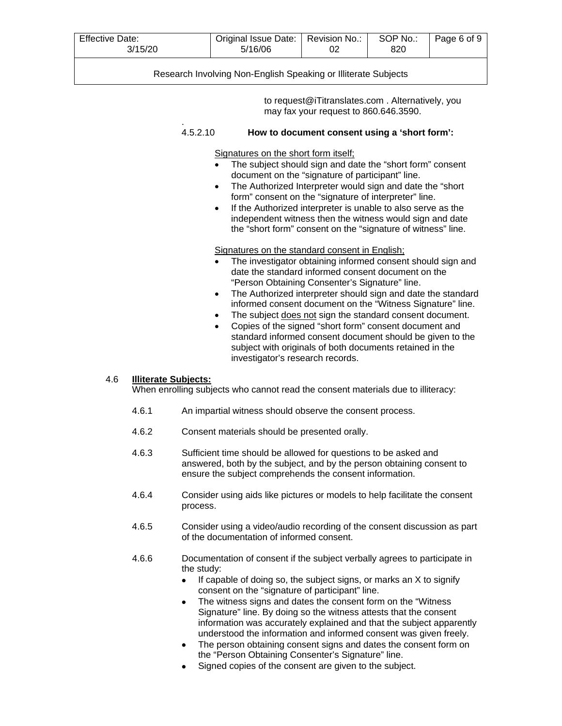| <b>Effective Date:</b><br>3/15/20 | Original Issue Date:   Revision No.:<br>5/16/06 | SOP No.:<br>820 | Page 6 of 9 |
|-----------------------------------|-------------------------------------------------|-----------------|-------------|
|                                   |                                                 |                 |             |

to request@iTitranslates.com . Alternatively, you may fax your request to 860.646.3590.

#### . 4.5.2.10 **How to document consent using a 'short form':**

Signatures on the short form itself;

- The subject should sign and date the "short form" consent document on the "signature of participant" line.
- The Authorized Interpreter would sign and date the "short" form" consent on the "signature of interpreter" line.
- If the Authorized interpreter is unable to also serve as the independent witness then the witness would sign and date the "short form" consent on the "signature of witness" line.

#### Signatures on the standard consent in English;

- The investigator obtaining informed consent should sign and date the standard informed consent document on the "Person Obtaining Consenter's Signature" line.
- The Authorized interpreter should sign and date the standard informed consent document on the "Witness Signature" line.
- The subject does not sign the standard consent document.
- Copies of the signed "short form" consent document and standard informed consent document should be given to the subject with originals of both documents retained in the investigator's research records.

#### 4.6 **Illiterate Subjects:**

When enrolling subjects who cannot read the consent materials due to illiteracy:

- 4.6.1 An impartial witness should observe the consent process.
- 4.6.2 Consent materials should be presented orally.
- 4.6.3 Sufficient time should be allowed for questions to be asked and answered, both by the subject, and by the person obtaining consent to ensure the subject comprehends the consent information.
- 4.6.4 Consider using aids like pictures or models to help facilitate the consent process.
- 4.6.5 Consider using a video/audio recording of the consent discussion as part of the documentation of informed consent.
- 4.6.6 Documentation of consent if the subject verbally agrees to participate in the study:
	- If capable of doing so, the subject signs, or marks an  $X$  to signify consent on the "signature of participant" line.
	- The witness signs and dates the consent form on the "Witness" Signature" line. By doing so the witness attests that the consent information was accurately explained and that the subject apparently understood the information and informed consent was given freely.
	- The person obtaining consent signs and dates the consent form on the "Person Obtaining Consenter's Signature" line.
	- Signed copies of the consent are given to the subject.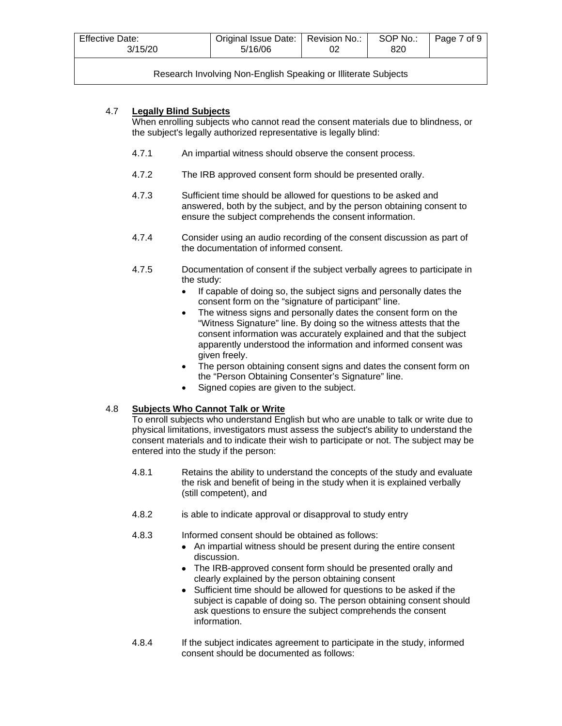| <b>Effective Date:</b><br>3/15/20                              | Original Issue Date:   Revision No.:<br>5/16/06 |  | SOP No.:<br>820 | Page 7 of 9 |  |  |
|----------------------------------------------------------------|-------------------------------------------------|--|-----------------|-------------|--|--|
| Research Involving Non-English Speaking or Illiterate Subjects |                                                 |  |                 |             |  |  |

## 4.7 **Legally Blind Subjects**

When enrolling subjects who cannot read the consent materials due to blindness, or the subject's legally authorized representative is legally blind:

- 4.7.1 An impartial witness should observe the consent process.
- 4.7.2 The IRB approved consent form should be presented orally.
- 4.7.3 Sufficient time should be allowed for questions to be asked and answered, both by the subject, and by the person obtaining consent to ensure the subject comprehends the consent information.
- 4.7.4 Consider using an audio recording of the consent discussion as part of the documentation of informed consent.
- 4.7.5 Documentation of consent if the subject verbally agrees to participate in the study:
	- If capable of doing so, the subject signs and personally dates the consent form on the "signature of participant" line.
	- The witness signs and personally dates the consent form on the "Witness Signature" line. By doing so the witness attests that the consent information was accurately explained and that the subject apparently understood the information and informed consent was given freely.
	- The person obtaining consent signs and dates the consent form on the "Person Obtaining Consenter's Signature" line.
	- Signed copies are given to the subject.

## 4.8 **Subjects Who Cannot Talk or Write**

To enroll subjects who understand English but who are unable to talk or write due to physical limitations, investigators must assess the subject's ability to understand the consent materials and to indicate their wish to participate or not. The subject may be entered into the study if the person:

- 4.8.1 Retains the ability to understand the concepts of the study and evaluate the risk and benefit of being in the study when it is explained verbally (still competent), and
- 4.8.2 is able to indicate approval or disapproval to study entry
- 4.8.3 Informed consent should be obtained as follows:
	- An impartial witness should be present during the entire consent discussion.
	- The IRB-approved consent form should be presented orally and clearly explained by the person obtaining consent
	- Sufficient time should be allowed for questions to be asked if the subject is capable of doing so. The person obtaining consent should ask questions to ensure the subject comprehends the consent information.
- 4.8.4 If the subject indicates agreement to participate in the study, informed consent should be documented as follows: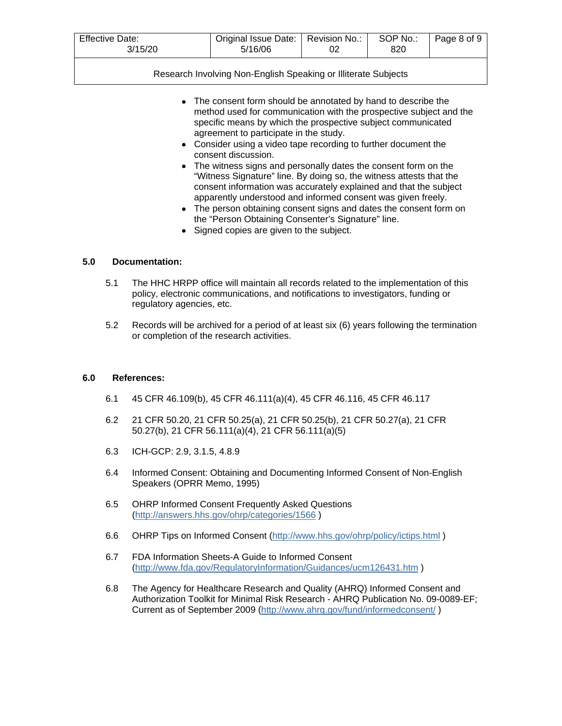| <b>Effective Date:</b> | Original Issue Date:   Revision No.: |  | SOP No.: | Page 8 of 9 |
|------------------------|--------------------------------------|--|----------|-------------|
| 3/15/20                | 5/16/06                              |  | 820      |             |

- The consent form should be annotated by hand to describe the method used for communication with the prospective subject and the specific means by which the prospective subject communicated agreement to participate in the study.
- Consider using a video tape recording to further document the consent discussion.
- The witness signs and personally dates the consent form on the "Witness Signature" line. By doing so, the witness attests that the consent information was accurately explained and that the subject apparently understood and informed consent was given freely.
- The person obtaining consent signs and dates the consent form on the "Person Obtaining Consenter's Signature" line.
- Signed copies are given to the subject.

#### **5.0 Documentation:**

- 5.1 The HHC HRPP office will maintain all records related to the implementation of this policy, electronic communications, and notifications to investigators, funding or regulatory agencies, etc.
- 5.2 Records will be archived for a period of at least six (6) years following the termination or completion of the research activities.

#### **6.0 References:**

- 6.1 45 CFR 46.109(b), 45 CFR 46.111(a)(4), 45 CFR 46.116, 45 CFR 46.117
- 6.2 21 CFR 50.20, 21 CFR 50.25(a), 21 CFR 50.25(b), 21 CFR 50.27(a), 21 CFR 50.27(b), 21 CFR 56.111(a)(4), 21 CFR 56.111(a)(5)
- 6.3 ICH-GCP: 2.9, 3.1.5, 4.8.9
- 6.4 Informed Consent: Obtaining and Documenting Informed Consent of Non-English Speakers (OPRR Memo, 1995)
- 6.5 OHRP Informed Consent Frequently Asked Questions [\(http://answers.hhs.gov/ohrp/categories/1566](http://answers.hhs.gov/ohrp/categories/1566) )
- 6.6 OHRP Tips on Informed Consent [\(http://www.hhs.gov/ohrp/policy/ictips.html](http://www.hhs.gov/ohrp/policy/ictips.html) )
- 6.7 FDA Information Sheets-A Guide to Informed Consent [\(http://www.fda.gov/RegulatoryInformation/Guidances/ucm126431.htm](http://www.fda.gov/RegulatoryInformation/Guidances/ucm126431.htm) )
- 6.8 The Agency for Healthcare Research and Quality (AHRQ) Informed Consent and Authorization Toolkit for Minimal Risk Research - AHRQ Publication No. 09-0089-EF; Current as of September 2009 [\(http://www.ahrq.gov/fund/informedconsent/](http://www.ahrq.gov/fund/informedconsent/) )